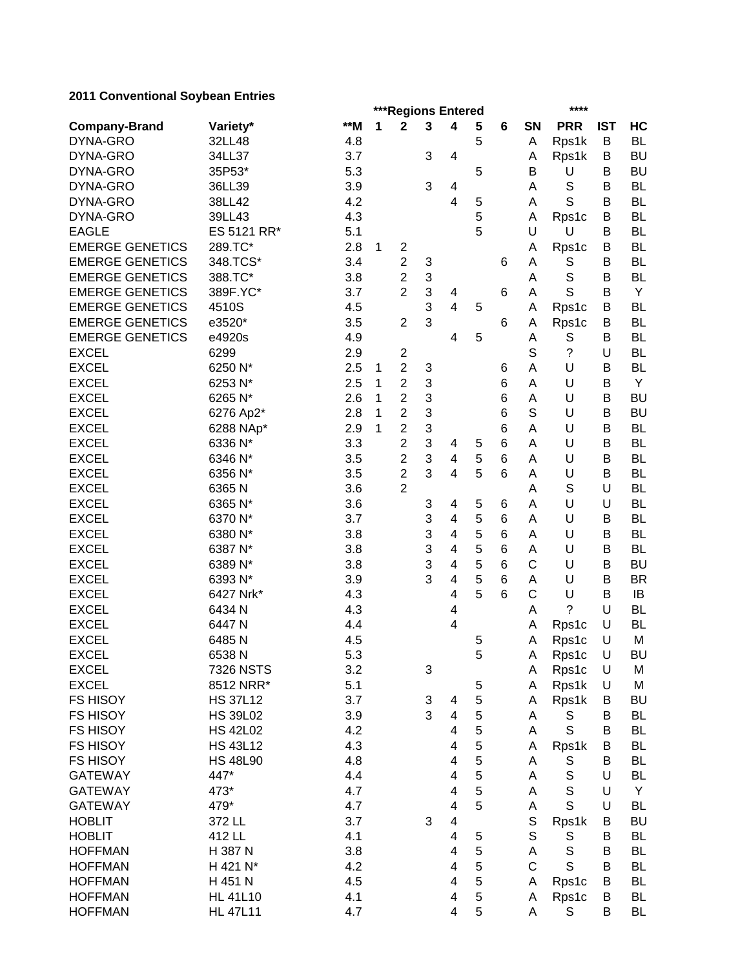# **2011 Conventional Soybean Entries**

| ZUTT CONVENTIONAL OUYDEAN LINNES |                  |       | ****<br>***Regions Entered |                |                           |                         |   |                 |              |                      |            |           |
|----------------------------------|------------------|-------|----------------------------|----------------|---------------------------|-------------------------|---|-----------------|--------------|----------------------|------------|-----------|
| <b>Company-Brand</b>             | Variety*         | $**M$ | 1                          | $\mathbf 2$    | $\mathbf 3$               | 4                       | 5 | 6               | SN           | <b>PRR</b>           | <b>IST</b> | HC        |
| DYNA-GRO                         | 32LL48           | 4.8   |                            |                |                           |                         | 5 |                 | A            | Rps1k                | B          | <b>BL</b> |
| DYNA-GRO                         | 34LL37           | 3.7   |                            |                | 3                         | 4                       |   |                 | Α            | Rps1k                | В          | <b>BU</b> |
| DYNA-GRO                         | 35P53*           | 5.3   |                            |                |                           |                         | 5 |                 | В            | U                    | B          | <b>BU</b> |
| DYNA-GRO                         | 36LL39           | 3.9   |                            |                | 3                         | 4                       |   |                 | A            | $\mathbb S$          | В          | <b>BL</b> |
| DYNA-GRO                         | 38LL42           | 4.2   |                            |                |                           | $\overline{\mathbf{4}}$ | 5 |                 | Α            | S                    | B          | <b>BL</b> |
| DYNA-GRO                         | 39LL43           | 4.3   |                            |                |                           |                         | 5 |                 | Α            | Rps1c                | B          | <b>BL</b> |
| <b>EAGLE</b>                     | ES 5121 RR*      | 5.1   |                            |                |                           |                         | 5 |                 | U            | U                    | B          | <b>BL</b> |
| <b>EMERGE GENETICS</b>           | 289.TC*          | 2.8   | $\mathbf{1}$               | $\overline{c}$ |                           |                         |   |                 | Α            | Rps1c                | В          | <b>BL</b> |
| <b>EMERGE GENETICS</b>           | 348.TCS*         | 3.4   |                            | $\overline{2}$ | 3                         |                         |   | 6               | Α            | S                    | В          | <b>BL</b> |
| <b>EMERGE GENETICS</b>           | 388.TC*          | 3.8   |                            | $\overline{2}$ | 3                         |                         |   |                 | Α            | $\mathbf S$          | B          | <b>BL</b> |
| <b>EMERGE GENETICS</b>           | 389F.YC*         | 3.7   |                            | $\overline{2}$ | 3                         | 4                       |   | 6               | A            | S                    | B          | Y         |
| <b>EMERGE GENETICS</b>           | 4510S            | 4.5   |                            |                | 3                         | 4                       | 5 |                 | A            | Rps1c                | B          | <b>BL</b> |
| <b>EMERGE GENETICS</b>           | e3520*           | 3.5   |                            | $\overline{2}$ | 3                         |                         |   | 6               | Α            | Rps1c                | В          | <b>BL</b> |
| <b>EMERGE GENETICS</b>           | e4920s           | 4.9   |                            |                |                           | 4                       | 5 |                 | Α            | S                    | B          | <b>BL</b> |
| <b>EXCEL</b>                     | 6299             | 2.9   |                            | $\mathbf{2}$   |                           |                         |   |                 | S            | ?                    | U          | <b>BL</b> |
| <b>EXCEL</b>                     | 6250 N*          | 2.5   | 1                          | $\overline{2}$ | $\ensuremath{\mathsf{3}}$ |                         |   | 6               | A            | U                    | B          | <b>BL</b> |
| <b>EXCEL</b>                     | 6253 N*          | 2.5   | 1                          | $\overline{2}$ | 3                         |                         |   | 6               | A            | U                    | B          | Y         |
| <b>EXCEL</b>                     | 6265 N*          | 2.6   | 1                          | $\overline{2}$ | 3                         |                         |   | $\,6$           | A            | U                    | B          | <b>BU</b> |
| <b>EXCEL</b>                     | 6276 Ap2*        | 2.8   | 1                          | $\overline{2}$ | 3                         |                         |   | $6\phantom{1}6$ | S            | U                    | B          | <b>BU</b> |
| <b>EXCEL</b>                     | 6288 NAp*        | 2.9   | $\mathbf{1}$               | $\overline{2}$ | $\sqrt{3}$                |                         |   | $\,6$           | A            | U                    | B          | <b>BL</b> |
| <b>EXCEL</b>                     | 6336 N*          | 3.3   |                            | $\overline{c}$ | 3                         | 4                       | 5 | 6               | A            | U                    | B          | <b>BL</b> |
| <b>EXCEL</b>                     | 6346 N*          | 3.5   |                            | $\overline{c}$ | 3                         | $\overline{\mathbf{4}}$ | 5 | $6\phantom{1}6$ | Α            | U                    | B          | <b>BL</b> |
| <b>EXCEL</b>                     | 6356 N*          | 3.5   |                            | $\overline{2}$ | 3                         | $\overline{4}$          | 5 | $6\phantom{1}6$ | Α            | U                    | B          | <b>BL</b> |
| <b>EXCEL</b>                     | 6365N            | 3.6   |                            | $\overline{2}$ |                           |                         |   |                 | A            | S                    | U          | <b>BL</b> |
| <b>EXCEL</b>                     | 6365 N*          | 3.6   |                            |                | 3                         | 4                       | 5 | 6               | Α            | U                    | U          | <b>BL</b> |
| <b>EXCEL</b>                     | 6370 N*          | 3.7   |                            |                | 3                         | 4                       | 5 | 6               | Α            | U                    | В          | <b>BL</b> |
| <b>EXCEL</b>                     | 6380 N*          | 3.8   |                            |                | 3                         | 4                       | 5 | 6               | Α            | U                    | B          | <b>BL</b> |
| <b>EXCEL</b>                     | 6387 N*          | 3.8   |                            |                | 3                         | 4                       | 5 | 6               | A            | U                    | B          | <b>BL</b> |
| <b>EXCEL</b>                     | 6389 N*          | 3.8   |                            |                | 3                         | 4                       | 5 | 6               | $\mathsf{C}$ | U                    | B          | <b>BU</b> |
| <b>EXCEL</b>                     | 6393 N*          | 3.9   |                            |                | 3                         | 4                       | 5 | 6               | Α            | U                    | B          | <b>BR</b> |
| <b>EXCEL</b>                     | 6427 Nrk*        | 4.3   |                            |                |                           | 4                       | 5 | 6               | $\mathsf{C}$ | U                    | B          | IB        |
| <b>EXCEL</b>                     | 6434 N           | 4.3   |                            |                |                           | 4                       |   |                 | Α            | ?                    | U          | <b>BL</b> |
| <b>EXCEL</b>                     | 6447 N           | 4.4   |                            |                |                           | 4                       |   |                 | Α            | Rps1c                | U          | <b>BL</b> |
| <b>EXCEL</b>                     | 6485N            | 4.5   |                            |                |                           |                         | 5 |                 | Α            | Rps1c                | U          | M         |
| <b>EXCEL</b>                     | 6538N            | 5.3   |                            |                |                           |                         | 5 |                 | A            | Rps1c                | U          | <b>BU</b> |
| <b>EXCEL</b>                     | <b>7326 NSTS</b> | 3.2   |                            |                | 3                         |                         |   |                 | A            | Rps1c                | U          | M         |
| <b>EXCEL</b>                     | 8512 NRR*        | 5.1   |                            |                |                           |                         | 5 |                 | Α            | Rps1k                | U          | M         |
| <b>FS HISOY</b>                  | <b>HS 37L12</b>  | 3.7   |                            |                | 3                         | 4                       | 5 |                 | A            | Rps1k                | B          | BU        |
| <b>FS HISOY</b>                  | <b>HS 39L02</b>  | 3.9   |                            |                | 3                         | 4                       | 5 |                 | A            | S                    | В          | <b>BL</b> |
| <b>FS HISOY</b>                  | <b>HS 42L02</b>  | 4.2   |                            |                |                           | 4                       | 5 |                 | A            | $\mathbf S$          | B          | BL        |
| <b>FS HISOY</b>                  | <b>HS 43L12</b>  | 4.3   |                            |                |                           | 4                       | 5 |                 | Α            | Rps1k                | B          | BL        |
| <b>FS HISOY</b>                  | <b>HS 48L90</b>  | 4.8   |                            |                |                           | 4                       | 5 |                 | A            | S                    | B          | BL        |
| <b>GATEWAY</b>                   | 447*             | 4.4   |                            |                |                           | 4                       | 5 |                 | A            | $\mathbb S$          | U          | BL        |
| <b>GATEWAY</b>                   | 473*             | 4.7   |                            |                |                           | 4                       | 5 |                 | A            | $\mathbb S$          | U          | Y         |
| <b>GATEWAY</b>                   | 479*             | 4.7   |                            |                |                           | 4                       | 5 |                 | Α            | S                    | U          | <b>BL</b> |
| <b>HOBLIT</b>                    | 372 LL           | 3.7   |                            |                | 3                         | $\overline{\mathbf{4}}$ |   |                 | S            |                      | в          | <b>BU</b> |
| <b>HOBLIT</b>                    | 412 LL           | 4.1   |                            |                |                           | 4                       | 5 |                 | S            | Rps1k<br>S           | B          | <b>BL</b> |
| <b>HOFFMAN</b>                   | H 387 N          | 3.8   |                            |                |                           | 4                       | 5 |                 | А            | $\mathbb S$          | B          | <b>BL</b> |
| <b>HOFFMAN</b>                   | H 421 N*         | 4.2   |                            |                |                           | 4                       | 5 |                 | $\mathsf C$  | $\mathsf S$          | B          | <b>BL</b> |
| <b>HOFFMAN</b>                   | H 451 N          | 4.5   |                            |                |                           | $\overline{\mathbf{4}}$ | 5 |                 |              |                      | B          | BL        |
| <b>HOFFMAN</b>                   |                  |       |                            |                |                           | 4                       | 5 |                 | А            | Rps1c                |            |           |
|                                  | <b>HL 41L10</b>  | 4.1   |                            |                |                           | 4                       | 5 |                 | Α            | Rps1c<br>$\mathsf S$ | B<br>B     | <b>BL</b> |
| <b>HOFFMAN</b>                   | <b>HL 47L11</b>  | 4.7   |                            |                |                           |                         |   |                 | А            |                      |            | <b>BL</b> |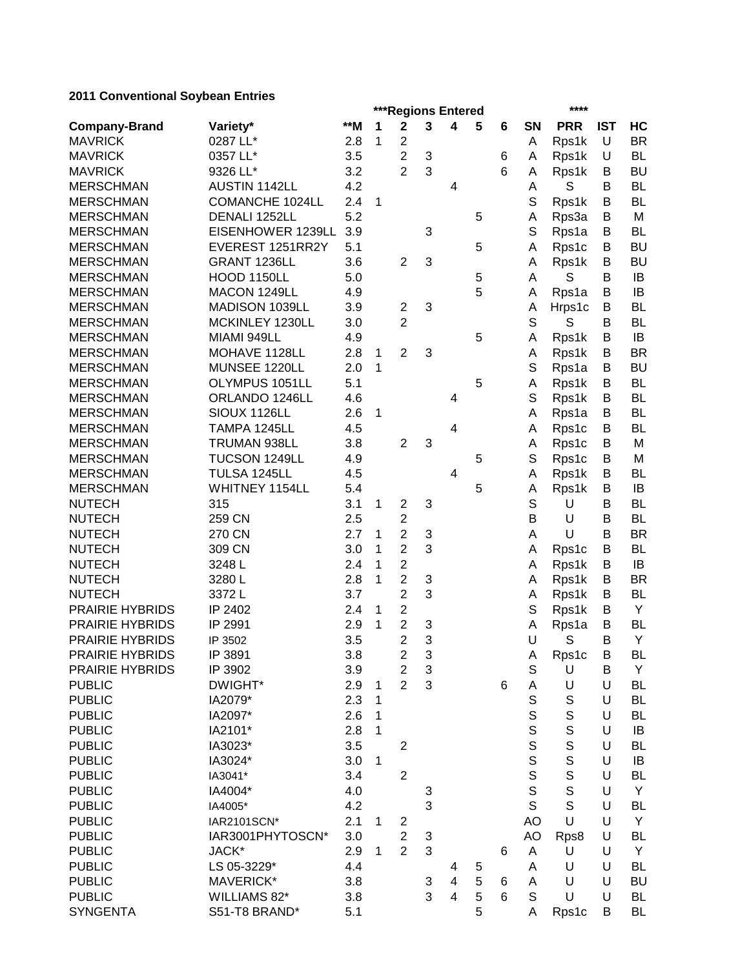# **2011 Conventional Soybean Entries**

| zu i i conventional obybean Entries |                        |       |              |                | ***Regions Entered |                         |   |   |             | ****        |            |           |  |
|-------------------------------------|------------------------|-------|--------------|----------------|--------------------|-------------------------|---|---|-------------|-------------|------------|-----------|--|
| <b>Company-Brand</b>                | Variety*               | $**M$ | 1            | $\mathbf 2$    | $\mathbf{3}$       | 4                       | 5 | 6 | SN          | <b>PRR</b>  | <b>IST</b> | HC        |  |
| <b>MAVRICK</b>                      | 0287 LL*               | 2.8   | 1            | $\overline{c}$ |                    |                         |   |   | A           | Rps1k       | U          | <b>BR</b> |  |
| <b>MAVRICK</b>                      | 0357 LL*               | 3.5   |              | $\overline{2}$ | 3                  |                         |   | 6 | Α           | Rps1k       | U          | <b>BL</b> |  |
| <b>MAVRICK</b>                      | 9326 LL*               | 3.2   |              | $\overline{2}$ | 3                  |                         |   | 6 | A           | Rps1k       | В          | <b>BU</b> |  |
| <b>MERSCHMAN</b>                    | <b>AUSTIN 1142LL</b>   | 4.2   |              |                |                    | 4                       |   |   | A           | S           | B          | BL        |  |
| <b>MERSCHMAN</b>                    | <b>COMANCHE 1024LL</b> | 2.4   | 1            |                |                    |                         |   |   | S           | Rps1k       | B          | BL        |  |
| <b>MERSCHMAN</b>                    | DENALI 1252LL          | 5.2   |              |                |                    |                         | 5 |   | A           | Rps3a       | B          | M         |  |
| <b>MERSCHMAN</b>                    | EISENHOWER 1239LL      | 3.9   |              |                | 3                  |                         |   |   | $\mathbf S$ | Rps1a       | B          | BL        |  |
| <b>MERSCHMAN</b>                    | EVEREST 1251RR2Y       | 5.1   |              |                |                    |                         | 5 |   | Α           | Rps1c       | В          | BU        |  |
| <b>MERSCHMAN</b>                    | GRANT 1236LL           | 3.6   |              | $\overline{2}$ | 3                  |                         |   |   | A           | Rps1k       | В          | BU        |  |
| <b>MERSCHMAN</b>                    | HOOD 1150LL            | 5.0   |              |                |                    |                         | 5 |   | Α           | S           | B          | IB        |  |
| <b>MERSCHMAN</b>                    | MACON 1249LL           | 4.9   |              |                |                    |                         | 5 |   | A           | Rps1a       | B          | IB        |  |
| <b>MERSCHMAN</b>                    | MADISON 1039LL         | 3.9   |              | $\overline{2}$ | 3                  |                         |   |   | Α           | Hrps1c      | В          | <b>BL</b> |  |
| <b>MERSCHMAN</b>                    | MCKINLEY 1230LL        | 3.0   |              | $\overline{2}$ |                    |                         |   |   | S           | S           | B          | <b>BL</b> |  |
| <b>MERSCHMAN</b>                    | MIAMI 949LL            | 4.9   |              |                |                    |                         | 5 |   | Α           | Rps1k       | В          | IB        |  |
| <b>MERSCHMAN</b>                    | MOHAVE 1128LL          | 2.8   | $\mathbf{1}$ | $\overline{2}$ | 3                  |                         |   |   | A           | Rps1k       | B          | <b>BR</b> |  |
| <b>MERSCHMAN</b>                    | MUNSEE 1220LL          | 2.0   | $\mathbf{1}$ |                |                    |                         |   |   | S           | Rps1a       | B          | <b>BU</b> |  |
| <b>MERSCHMAN</b>                    | OLYMPUS 1051LL         | 5.1   |              |                |                    |                         | 5 |   | Α           | Rps1k       | B          | <b>BL</b> |  |
| <b>MERSCHMAN</b>                    | ORLANDO 1246LL         | 4.6   |              |                |                    | 4                       |   |   | S           | Rps1k       | В          | <b>BL</b> |  |
| <b>MERSCHMAN</b>                    | SIOUX 1126LL           | 2.6   | 1            |                |                    |                         |   |   | Α           | Rps1a       | В          | BL        |  |
| <b>MERSCHMAN</b>                    | TAMPA 1245LL           | 4.5   |              |                |                    | $\overline{4}$          |   |   | A           | Rps1c       | B          | BL        |  |
| <b>MERSCHMAN</b>                    | TRUMAN 938LL           | 3.8   |              | $\overline{2}$ | 3                  |                         |   |   | Α           | Rps1c       | B          | М         |  |
| <b>MERSCHMAN</b>                    | TUCSON 1249LL          | 4.9   |              |                |                    |                         | 5 |   | S           | Rps1c       | В          | M         |  |
| <b>MERSCHMAN</b>                    | TULSA 1245LL           | 4.5   |              |                |                    | 4                       |   |   | A           | Rps1k       | В          | BL        |  |
| <b>MERSCHMAN</b>                    | WHITNEY 1154LL         | 5.4   |              |                |                    |                         | 5 |   | Α           | Rps1k       | B          | IB        |  |
| <b>NUTECH</b>                       | 315                    | 3.1   | 1            | $\overline{c}$ | 3                  |                         |   |   | S           | U           | В          | BL        |  |
| <b>NUTECH</b>                       | 259 CN                 | 2.5   |              | $\overline{2}$ |                    |                         |   |   | B           | U           | В          | BL        |  |
| <b>NUTECH</b>                       | 270 CN                 | 2.7   | 1            | $\overline{2}$ | 3                  |                         |   |   | A           | U           | B          | <b>BR</b> |  |
| <b>NUTECH</b>                       | 309 CN                 | 3.0   | 1            | $\overline{2}$ | 3                  |                         |   |   | A           | Rps1c       | В          | BL        |  |
| <b>NUTECH</b>                       | 3248L                  | 2.4   | 1            | $\overline{c}$ |                    |                         |   |   | A           | Rps1k       | В          | IB        |  |
| <b>NUTECH</b>                       | 3280L                  | 2.8   | 1            | $\overline{2}$ | 3                  |                         |   |   | A           | Rps1k       | В          | <b>BR</b> |  |
| <b>NUTECH</b>                       | 3372L                  | 3.7   |              | $\overline{2}$ | 3                  |                         |   |   | A           | Rps1k       | В          | <b>BL</b> |  |
| PRAIRIE HYBRIDS                     | IP 2402                | 2.4   | 1            | $\overline{2}$ |                    |                         |   |   | S           | Rps1k       | B          | Y         |  |
| <b>PRAIRIE HYBRIDS</b>              | IP 2991                | 2.9   | 1            | $\overline{2}$ | 3                  |                         |   |   | A           | Rps1a       | B          | <b>BL</b> |  |
| <b>PRAIRIE HYBRIDS</b>              | IP 3502                | 3.5   |              | $\overline{2}$ | 3                  |                         |   |   | U           | S           | B          | Υ         |  |
| <b>PRAIRIE HYBRIDS</b>              | IP 3891                | 3.8   |              | 2              | 3                  |                         |   |   | A           | Rps1c       | В          | <b>BL</b> |  |
| PRAIRIE HYBRIDS                     | IP 3902                | 3.9   |              | $\overline{2}$ | 3                  |                         |   |   | $\mathsf S$ | U           | В          | Y         |  |
| <b>PUBLIC</b>                       | DWIGHT*                | 2.9   | 1            | $\overline{2}$ | 3                  |                         |   | 6 | A           | U           | U          | BL        |  |
| <b>PUBLIC</b>                       | IA2079*                | 2.3   | 1            |                |                    |                         |   |   | $\mathbb S$ | $\mathbb S$ | U          | <b>BL</b> |  |
| <b>PUBLIC</b>                       | IA2097*                | 2.6   | 1            |                |                    |                         |   |   | $\mathsf S$ | $\mathbb S$ | U          | <b>BL</b> |  |
| <b>PUBLIC</b>                       | IA2101*                | 2.8   | 1            |                |                    |                         |   |   | S           | $\mathbf S$ | U          | IB        |  |
| <b>PUBLIC</b>                       | IA3023*                | 3.5   |              | $\overline{c}$ |                    |                         |   |   | S           | $\mathbf S$ | U          | BL        |  |
| <b>PUBLIC</b>                       | IA3024*                | 3.0   | 1            |                |                    |                         |   |   | S           | $\mathbf S$ | U          | IB        |  |
| <b>PUBLIC</b>                       | IA3041*                | 3.4   |              | $\overline{2}$ |                    |                         |   |   | $\mathbf S$ | S           | U          | <b>BL</b> |  |
| <b>PUBLIC</b>                       | IA4004*                | 4.0   |              |                | 3                  |                         |   |   | $\mathsf S$ | S           | U          | Y         |  |
| <b>PUBLIC</b>                       | IA4005*                | 4.2   |              |                | 3                  |                         |   |   | S           | S           | U          | <b>BL</b> |  |
| <b>PUBLIC</b>                       | IAR2101SCN*            | 2.1   | 1            | 2              |                    |                         |   |   | AO          | U           | U          | Y         |  |
| <b>PUBLIC</b>                       | IAR3001PHYTOSCN*       | 3.0   |              | $\overline{2}$ | 3                  |                         |   |   | AO          | Rps8        | U          | <b>BL</b> |  |
| <b>PUBLIC</b>                       | JACK*                  | 2.9   | 1            | $\overline{2}$ | 3                  |                         |   | 6 | A           | U           | U          | Y         |  |
| <b>PUBLIC</b>                       | LS 05-3229*            | 4.4   |              |                |                    | 4                       | 5 |   | A           | U           | U          | <b>BL</b> |  |
| <b>PUBLIC</b>                       | MAVERICK*              | 3.8   |              |                | 3                  | $\overline{\mathbf{4}}$ | 5 | 6 | A           | U           | U          | <b>BU</b> |  |
| <b>PUBLIC</b>                       | WILLIAMS 82*           | 3.8   |              |                | 3                  | $\overline{\mathbf{4}}$ | 5 | 6 | $\mathbb S$ | U           | U          | <b>BL</b> |  |
| <b>SYNGENTA</b>                     | S51-T8 BRAND*          | 5.1   |              |                |                    |                         | 5 |   | Α           | Rps1c       | В          | BL        |  |